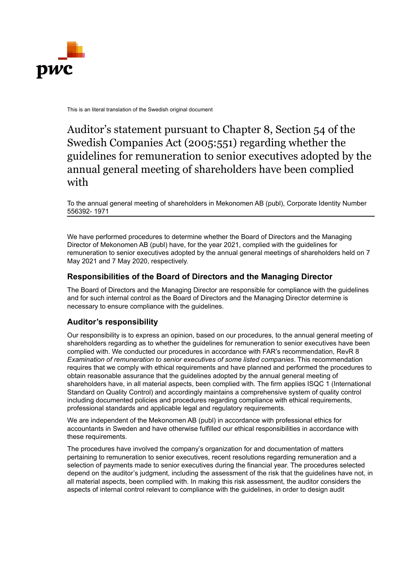

This is an literal translation of the Swedish original document

## Auditor's statement pursuant to Chapter 8, Section 54 of the Swedish Companies Act (2005:551) regarding whether the guidelines for remuneration to senior executives adopted by the annual general meeting of shareholders have been complied with

To the annual general meeting of shareholders in Mekonomen AB (publ), Corporate Identity Number 556392- 1971

We have performed procedures to determine whether the Board of Directors and the Managing Director of Mekonomen AB (publ) have, for the year 2021, complied with the guidelines for remuneration to senior executives adopted by the annual general meetings of shareholders held on 7 May 2021 and 7 May 2020, respectively.

## **Responsibilities of the Board of Directors and the Managing Director**

The Board of Directors and the Managing Director are responsible for compliance with the guidelines and for such internal control as the Board of Directors and the Managing Director determine is necessary to ensure compliance with the guidelines.

## **Auditor's responsibility**

Our responsibility is to express an opinion, based on our procedures, to the annual general meeting of shareholders regarding as to whether the guidelines for remuneration to senior executives have been complied with. We conducted our procedures in accordance with FAR's recommendation, RevR 8 *Examination of remuneration to senior executives of some listed companies*. This recommendation requires that we comply with ethical requirements and have planned and performed the procedures to obtain reasonable assurance that the guidelines adopted by the annual general meeting of shareholders have, in all material aspects, been complied with. The firm applies ISQC 1 (International Standard on Quality Control) and accordingly maintains a comprehensive system of quality control including documented policies and procedures regarding compliance with ethical requirements, professional standards and applicable legal and regulatory requirements.

We are independent of the Mekonomen AB (publ) in accordance with professional ethics for accountants in Sweden and have otherwise fulfilled our ethical responsibilities in accordance with these requirements.

The procedures have involved the company's organization for and documentation of matters pertaining to remuneration to senior executives, recent resolutions regarding remuneration and a selection of payments made to senior executives during the financial year. The procedures selected depend on the auditor's judgment, including the assessment of the risk that the guidelines have not, in all material aspects, been complied with. In making this risk assessment, the auditor considers the aspects of internal control relevant to compliance with the guidelines, in order to design audit